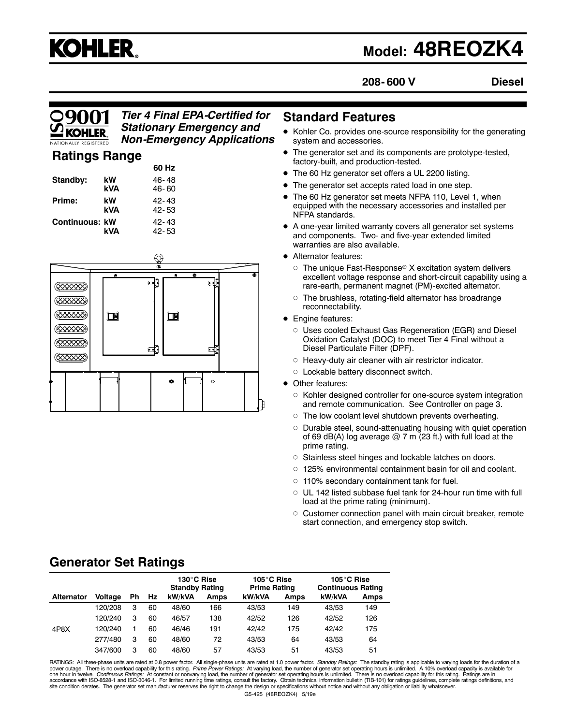# **KOHLER.**

# **Model: 48REOZK4**

**208- 600 V Diesel**

#### *Tier 4 Final EPA-Certified for Stationary Emergency and Non-Emergency Applications*

#### **Ratings Range**

|                       |     | 60 Hz     |
|-----------------------|-----|-----------|
| Standby:              | kW  | 46-48     |
|                       | kVA | $46 - 60$ |
| Prime:                | kW  | $42 - 43$ |
|                       | kVA | 42-53     |
| <b>Continuous: kW</b> |     | 42-43     |
|                       | kVA | 42-53     |



#### **Standard Features**

- Kohler Co. provides one-source responsibility for the generating system and accessories.
- The generator set and its components are prototype-tested, factory-built, and production-tested.
- The 60 Hz generator set offers a UL 2200 listing.
- The generator set accepts rated load in one step.
- The 60 Hz generator set meets NFPA 110, Level 1, when equipped with the necessary accessories and installed per NFPA standards.
- A one-year limited warranty covers all generator set systems and components. Two- and five-year extended limited warranties are also available.
- Alternator features:
	- $\circ$  The unique Fast-Response® X excitation system delivers excellent voltage response and short-circuit capability using a rare-earth, permanent magnet (PM)-excited alternator.
	- $\circ$  The brushless, rotating-field alternator has broadrange reconnectability.
- Engine features:
	- o Uses cooled Exhaust Gas Regeneration (EGR) and Diesel Oxidation Catalyst (DOC) to meet Tier 4 Final without a Diesel Particulate Filter (DPF).
	- $\circ$  Heavy-duty air cleaner with air restrictor indicator.
	- o Lockable battery disconnect switch.
- Other features:
	- $\circ$  Kohler designed controller for one-source system integration and remote communication. See Controller on page 3.
	- $\circ$  The low coolant level shutdown prevents overheating.
	- o Durable steel, sound-attenuating housing with quiet operation of 69 dB(A) log average  $@$  7 m (23 ft.) with full load at the prime rating.
	- $\circ$  Stainless steel hinges and lockable latches on doors.
	- $\circ$  125% environmental containment basin for oil and coolant.
	- $\circ$  110% secondary containment tank for fuel.
	- $\circ$  UL 142 listed subbase fuel tank for 24-hour run time with full load at the prime rating (minimum).
	- $\circ$  Customer connection panel with main circuit breaker, remote start connection, and emergency stop switch.

### **Generator Set Ratings**

|                   |                |    |     | 130°C Rise<br><b>Standby Rating</b> |             | 105°C Rise<br><b>Prime Rating</b> |             | 105°C Rise<br><b>Continuous Rating</b> |             |
|-------------------|----------------|----|-----|-------------------------------------|-------------|-----------------------------------|-------------|----------------------------------------|-------------|
| <b>Alternator</b> | <b>Voltage</b> | Ph | Hz. | kW/kVA                              | <b>Amps</b> | kW/kVA                            | <b>Amps</b> | kW/kVA                                 | <b>Amps</b> |
|                   | 120/208        | 3  | 60  | 48/60                               | 166         | 43/53                             | 149         | 43/53                                  | 149         |
|                   | 120/240        | з  | 60  | 46/57                               | 138         | 42/52                             | 126         | 42/52                                  | 126         |
| 4P8X              | 120/240        |    | 60  | 46/46                               | 191         | 42/42                             | 175         | 42/42                                  | 175         |
|                   | 277/480        | 3  | 60  | 48/60                               | 72          | 43/53                             | 64          | 43/53                                  | 64          |
|                   | 347/600        | з  | 60  | 48/60                               | 57          | 43/53                             | 51          | 43/53                                  | 51          |

G5-425 (48REOZK4) 5/19e RATINGS: All three-phase units are rated at 0.8 power factor. All single-phase units are rated at 1.0 power factor. *Standby Ratings:* The standby rating is applicable to varying loads for the duration of a<br>power outage. T accordance with ISO-8528-1 and ISO-3046-1. For limited running time ratings, consult the factory. Obtain technical information bulletin (TIB-101) for ratings guidelines, complete ratings definitions, and<br>site condition der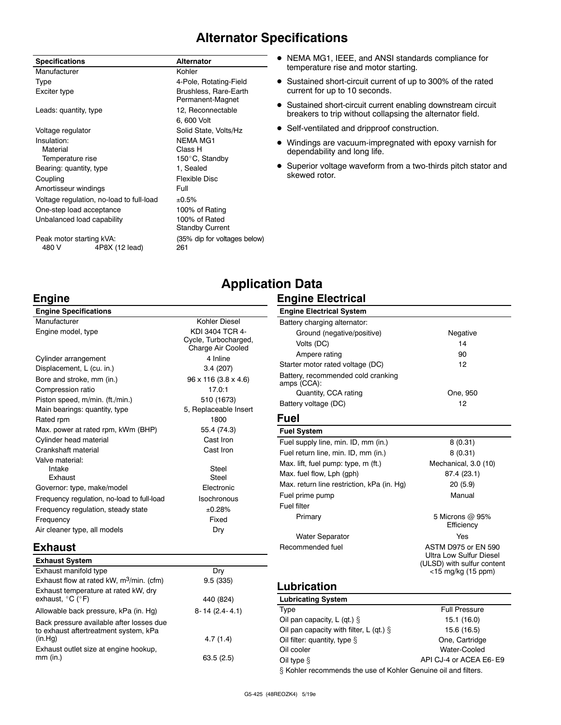## **Alternator Specifications**

|                                          | <b>Specifications</b>             |                | <b>Alternator</b>                         |  |  |
|------------------------------------------|-----------------------------------|----------------|-------------------------------------------|--|--|
|                                          | Manufacturer                      |                | Kohler                                    |  |  |
|                                          | Type                              |                | 4-Pole, Rotating-Field                    |  |  |
|                                          | Exciter type                      |                | Brushless, Rare-Earth<br>Permanent-Magnet |  |  |
|                                          | Leads: quantity, type             |                | 12, Reconnectable                         |  |  |
|                                          |                                   |                | 6, 600 Volt                               |  |  |
|                                          | Voltage regulator                 |                | Solid State, Volts/Hz                     |  |  |
|                                          | Insulation:                       |                | NFMA MG1                                  |  |  |
|                                          | Material                          |                | Class H                                   |  |  |
| Temperature rise                         |                                   |                | 150°C, Standby                            |  |  |
| Bearing: quantity, type                  |                                   |                | 1, Sealed                                 |  |  |
| Coupling                                 |                                   |                | <b>Flexible Disc</b>                      |  |  |
| Amortisseur windings                     |                                   |                | Full                                      |  |  |
| Voltage regulation, no-load to full-load |                                   |                | ±0.5%                                     |  |  |
|                                          | One-step load acceptance          |                | 100% of Rating                            |  |  |
|                                          | Unbalanced load capability        |                | 100% of Rated<br><b>Standby Current</b>   |  |  |
|                                          | Peak motor starting kVA:<br>480 V | 4P8X (12 lead) | (35% dip for voltages below)<br>261       |  |  |
|                                          |                                   |                |                                           |  |  |

- NEMA MG1, IEEE, and ANSI standards compliance for temperature rise and motor starting.
- Sustained short-circuit current of up to 300% of the rated current for up to 10 seconds.
- Sustained short-circuit current enabling downstream circuit breakers to trip without collapsing the alternator field.
- Self-ventilated and dripproof construction.
- Windings are vacuum-impregnated with epoxy varnish for dependability and long life.
- Superior voltage waveform from a two-thirds pitch stator and skewed rotor.

#### **Engine**

#### **Engine Specifications** Manufacturer Kohler Diesel Engine model, type KDI 3404 TCR 4-Cycle, Turbocharged, Charge Air Cooled Cylinder arrangement 4 Inline Displacement, L (cu. in.) 3.4 (207) Bore and stroke, mm (in.) 96 x 116 (3.8 x 4.6) Compression ratio 17.0:1 Piston speed, m/min. (ft./min.) 510 (1673) Main bearings: quantity, type 5, Replaceable Insert Rated rpm 1800 Max. power at rated rpm, kWm (BHP) 55.4 (74.3) Cylinder head material Cylinder head material cast Iron Crankshaft material Crankshaft material Cast Iron Valve material: Intake Steel Exhaust **Steel** Governor: type, make/model Electronic Frequency regulation, no-load to full-load Isochronous Frequency regulation, steady state  $\pm 0.28\%$ Frequency **Fixed** Air cleaner type, all models Dry

#### **Exhaust**

| <b>Exhaust System</b>                                                             |                     |
|-----------------------------------------------------------------------------------|---------------------|
| Exhaust manifold type                                                             | Dry                 |
| Exhaust flow at rated kW, m <sup>3</sup> /min. (cfm)                              | 9.5(335)            |
| Exhaust temperature at rated kW, dry<br>exhaust, $^{\circ}$ C ( $^{\circ}$ F)     | 440 (824)           |
| Allowable back pressure, kPa (in. Hq)                                             | $8 - 14(2.4 - 4.1)$ |
| Back pressure available after losses due<br>to exhaust aftertreatment system, kPa |                     |
| (in.Hq)                                                                           | 4.7(1.4)            |
| Exhaust outlet size at engine hookup,<br>$mm$ (in.)                               | 63.5(2.5)           |

## **Application Data**

#### **Engine Electrical**

| <b>Engine Electrical System</b>                   |                                                                                                                  |
|---------------------------------------------------|------------------------------------------------------------------------------------------------------------------|
| Battery charging alternator:                      |                                                                                                                  |
| Ground (negative/positive)                        | Negative                                                                                                         |
| Volts (DC)                                        | 14                                                                                                               |
| Ampere rating                                     | 90                                                                                                               |
| Starter motor rated voltage (DC)                  | 12                                                                                                               |
| Battery, recommended cold cranking<br>amps (CCA): |                                                                                                                  |
| Quantity, CCA rating                              | One, 950                                                                                                         |
| Battery voltage (DC)                              | 12                                                                                                               |
| <b>Fuel</b>                                       |                                                                                                                  |
| <b>Fuel System</b>                                |                                                                                                                  |
| Fuel supply line, min. ID, mm (in.)               | 8(0.31)                                                                                                          |
| Fuel return line, min. ID, mm (in.)               | 8(0.31)                                                                                                          |
| Max. lift, fuel pump: type, m (ft.)               | Mechanical, 3.0 (10)                                                                                             |
| Max. fuel flow, Lph (gph)                         | 87.4 (23.1)                                                                                                      |
| Max. return line restriction, kPa (in. Hg)        | 20 (5.9)                                                                                                         |
| Fuel prime pump                                   | Manual                                                                                                           |
| Fuel filter                                       |                                                                                                                  |
| Primary                                           | 5 Microns @ 95%<br>Efficiency                                                                                    |
| <b>Water Separator</b>                            | Yes                                                                                                              |
| Recommended fuel                                  | <b>ASTM D975 or EN 590</b><br><b>Ultra Low Sulfur Diesel</b><br>(ULSD) with sulfur content<br><15 mg/kg (15 ppm) |
| <b>Lubrication</b>                                |                                                                                                                  |
| <b>Lubricating System</b>                         |                                                                                                                  |
| Type                                              | <b>Full Pressure</b>                                                                                             |
| Oil pan capacity, L (qt.) $\S$                    | 15.1 (16.0)                                                                                                      |
| Oil pan capacity with filter, L (qt.) $\S$        | 15.6 (16.5)                                                                                                      |
| Oil filter: quantity, type §                      | One, Cartridge                                                                                                   |
| Oil cooler                                        | Water-Cooled                                                                                                     |
| Oil type $\S$                                     | API CJ-4 or ACEA E6-E9                                                                                           |

§ Kohler recommends the use of Kohler Genuine oil and filters.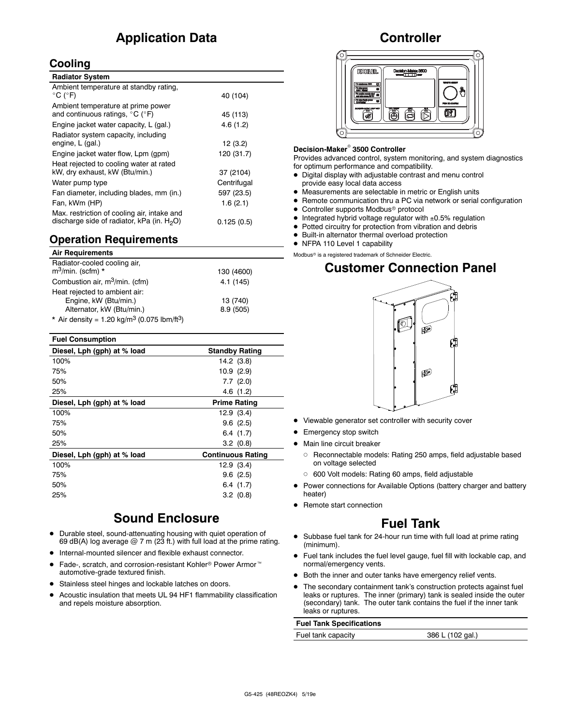## **Application Data**

#### **Cooling**

| <b>Radiator System</b>                                                                       |             |
|----------------------------------------------------------------------------------------------|-------------|
| Ambient temperature at standby rating,<br>$^{\circ}$ C ( $^{\circ}$ F)                       | 40 (104)    |
| Ambient temperature at prime power<br>and continuous ratings, $^{\circ}$ C ( $^{\circ}$ F)   | 45 (113)    |
| Engine jacket water capacity, L (gal.)                                                       | 4.6(1.2)    |
| Radiator system capacity, including<br>engine, L (gal.)                                      | 12(3.2)     |
| Engine jacket water flow, Lpm (gpm)                                                          | 120 (31.7)  |
| Heat rejected to cooling water at rated                                                      |             |
| kW, dry exhaust, kW (Btu/min.)                                                               | 37 (2104)   |
| Water pump type                                                                              | Centrifugal |
| Fan diameter, including blades, mm (in.)                                                     | 597 (23.5)  |
| Fan, kWm (HP)                                                                                | 1.6(2.1)    |
| Max. restriction of cooling air, intake and<br>discharge side of radiator, kPa (in. $H_2O$ ) | 0.125(0.5)  |

#### **Operation Requirements**

| <b>Air Requirements</b>                                             |            |
|---------------------------------------------------------------------|------------|
| Radiator-cooled cooling air,                                        |            |
| $m^3$ /min. (scfm) *                                                | 130 (4600) |
| Combustion air, m <sup>3</sup> /min. (cfm)                          | 4.1(145)   |
| Heat rejected to ambient air:                                       |            |
| Engine, kW (Btu/min.)                                               | 13 (740)   |
| Alternator, kW (Btu/min.)                                           | 8.9 (505)  |
| * Air density = 1.20 kg/m <sup>3</sup> (0.075 lbm/ft <sup>3</sup> ) |            |

| <b>Fuel Consumption</b>     |                          |
|-----------------------------|--------------------------|
| Diesel, Lph (gph) at % load | <b>Standby Rating</b>    |
| 100%                        | 14.2 (3.8)               |
| 75%                         | 10.9(2.9)                |
| 50%                         | $7.7$ $(2.0)$            |
| 25%                         | 4.6(1.2)                 |
| Diesel, Lph (gph) at % load | Prime Rating             |
| 100%                        | 12.9(3.4)                |
| 75%                         | 9.6(2.5)                 |
| 50%                         | 6.4(1.7)                 |
| 25%                         | 3.2(0.8)                 |
| Diesel, Lph (gph) at % load | <b>Continuous Rating</b> |
| 100%                        | 12.9(3.4)                |
| 75%                         | $9.6$ $(2.5)$            |
| 50%                         | 6.4(1.7)                 |
| 25%                         | 3.2(0.8)                 |

#### **Sound Enclosure**

- $\bullet$  Durable steel, sound-attenuating housing with quiet operation of 69 dB(A) log average  $@ 7 m$  (23 ft.) with full load at the prime rating.
- Internal-mounted silencer and flexible exhaust connector.
- Fade-, scratch, and corrosion-resistant Kohler<sup>®</sup> Power Armor<sup>™</sup> automotive-grade textured finish.
- Stainless steel hinges and lockable latches on doors.
- Acoustic insulation that meets UL 94 HF1 flammability classification and repels moisture absorption.

#### **Controller**



#### **Decision-Maker<sup>®</sup> 3500 Controller**

Provides advanced control, system monitoring, and system diagnostics for optimum performance and compatibility.

- $\bullet$  Digital display with adjustable contrast and menu control provide easy local data access
- $\bullet$  Measurements are selectable in metric or English units
- Remote communication thru a PC via network or serial configuration
- Controller supports Modbus<sup>®</sup> protocol
- $\bullet$  Integrated hybrid voltage regulator with  $\pm 0.5\%$  regulation
- $\bullet$  Potted circuitry for protection from vibration and debris
- $\bullet$  Built-in alternator thermal overload protection
- NFPA 110 Level 1 capability

#### Modbus<sup>®</sup> is a registered trademark of Schneider Electric. **Customer Connection Panel**



- Viewable generator set controller with security cover
- Emergency stop switch
- Main line circuit breaker
	- o Reconnectable models: Rating 250 amps, field adjustable based on voltage selected
	- o 600 Volt models: Rating 60 amps, field adjustable
- Power connections for Available Options (battery charger and battery heater)
- Remote start connection

#### **Fuel Tank**

- Subbase fuel tank for 24-hour run time with full load at prime rating (minimum).
- Fuel tank includes the fuel level gauge, fuel fill with lockable cap, and normal/emergency vents.
- Both the inner and outer tanks have emergency relief vents.
- The secondary containment tank's construction protects against fuel leaks or ruptures. The inner (primary) tank is sealed inside the outer (secondary) tank. The outer tank contains the fuel if the inner tank leaks or ruptures.

#### **Fuel Tank Specifications**

Fuel tank capacity 386 L (102 gal.)